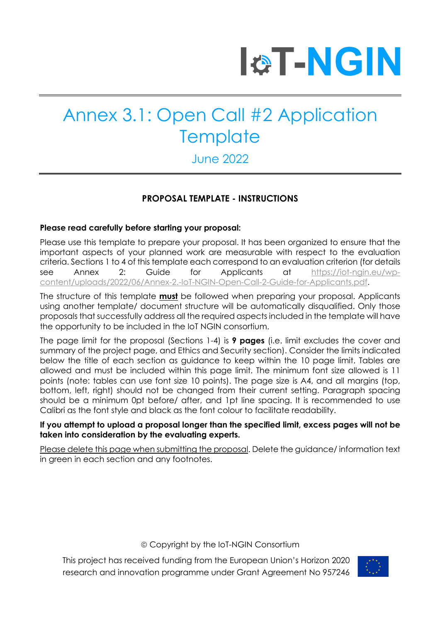

### June 2022

#### **PROPOSAL TEMPLATE - INSTRUCTIONS**

#### **Please read carefully before starting your proposal:**

Please use this template to prepare your proposal. It has been organized to ensure that the important aspects of your planned work are measurable with respect to the evaluation criteria. Sections 1 to 4 of this template each correspond to an evaluation criterion (for details see Annex 2: Guide for Applicants at https://iot-ngin.eu/wpcontent/uploads/2022/06/Annex-2.-IoT-NGIN-Open-Call-2-Guide-for-Applicants.pdf.

The structure of this template **must** be followed when preparing your proposal. Applicants using another template/ document structure will be automatically disqualified. Only those proposals that successfully address all the required aspects included in the template will have the opportunity to be included in the IoT NGIN consortium.

The page limit for the proposal (Sections 1-4) is **9 pages** (i.e. limit excludes the cover and summary of the project page, and Ethics and Security section). Consider the limits indicated below the title of each section as guidance to keep within the 10 page limit. Tables are allowed and must be included within this page limit. The minimum font size allowed is 11 points (note: tables can use font size 10 points). The page size is A4, and all margins (top, bottom, left, right) should not be changed from their current setting. Paragraph spacing should be a minimum 0pt before/ after, and 1pt line spacing. It is recommended to use Calibri as the font style and black as the font colour to facilitate readability.

#### **If you attempt to upload a proposal longer than the specified limit, excess pages will not be taken into consideration by the evaluating experts.**

Please delete this page when submitting the proposal. Delete the guidance/ information text in green in each section and any footnotes.

ã Copyright by the IoT-NGIN Consortium

This project has received funding from the European Union's Horizon 2020 research and innovation programme under Grant Agreement No 957246

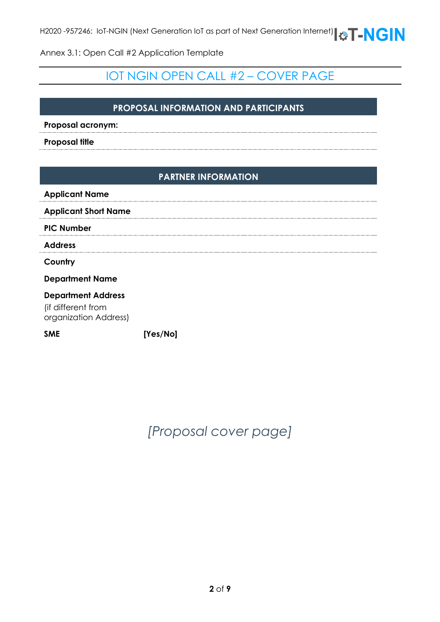### IOT NGIN OPEN CALL #2 – COVER PAGE

#### **PROPOSAL INFORMATION AND PARTICIPANTS**

**Proposal acronym:**

**Proposal title**

#### **PARTNER INFORMATION**

| <b>Applicant Name</b>                           |  |
|-------------------------------------------------|--|
| <b>Applicant Short Name</b>                     |  |
| <b>PIC Number</b>                               |  |
| <b>Address</b>                                  |  |
| Country                                         |  |
| <b>Department Name</b>                          |  |
| <b>Department Address</b><br>lif difforont from |  |

(if different from organization Address)

**SME [Yes/No]**

*[Proposal cover page]*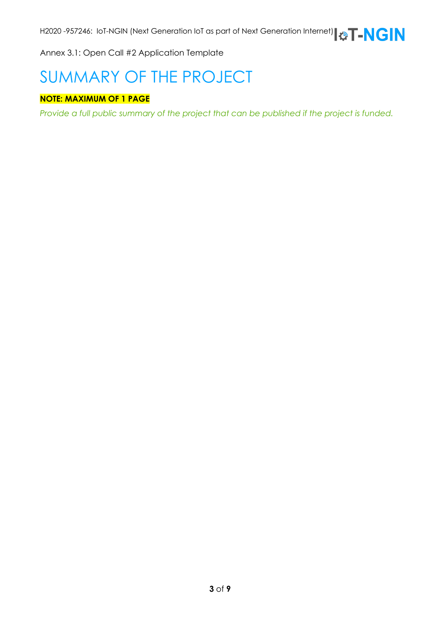# SUMMARY OF THE PROJECT

#### **NOTE: MAXIMUM OF 1 PAGE**

*Provide a full public summary of the project that can be published if the project is funded.*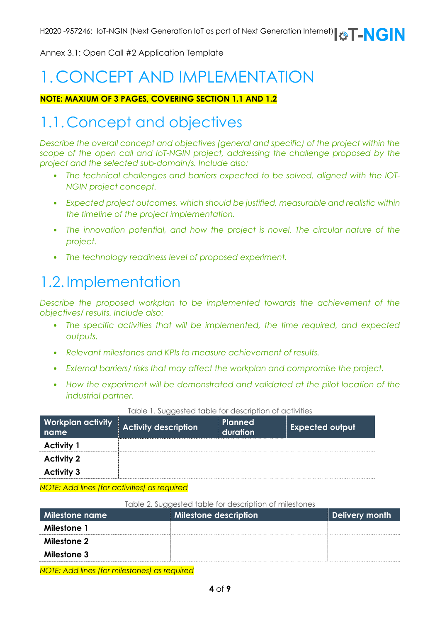# 1. CONCEPT AND IMPLEMENTATION

#### **NOTE: MAXIUM OF 3 PAGES, COVERING SECTION 1.1 AND 1.2**

### 1.1. Concept and objectives

*Describe the overall concept and objectives (general and specific) of the project within the scope of the open call and IoT-NGIN project, addressing the challenge proposed by the project and the selected sub-domain/s. Include also:*

- *The technical challenges and barriers expected to be solved, aligned with the IOT-NGIN project concept.*
- *Expected project outcomes, which should be justified, measurable and realistic within the timeline of the project implementation.*
- The innovation potential, and how the project is novel. The circular nature of the *project.*
- *The technology readiness level of proposed experiment.*

### 1.2. Implementation

*Describe the proposed workplan to be implemented towards the achievement of the objectives/ results. Include also:*

- *The specific activities that will be implemented, the time required, and expected outputs.*
- *Relevant milestones and KPIs to measure achievement of results.*
- *External barriers/ risks that may affect the workplan and compromise the project.*
- *How the experiment will be demonstrated and validated at the pilot location of the industrial partner.*

| <b>Workplan activity</b><br>name | <b>Activity description</b> | <b>Planned</b><br>duration | <b>Expected output</b> |
|----------------------------------|-----------------------------|----------------------------|------------------------|
| <b>Activity 1</b>                |                             |                            |                        |
| <b>Activity 2</b>                |                             |                            |                        |
| <b>Activity 3</b>                |                             |                            |                        |

#### Table 1. Suggested table for description of activities

*NOTE: Add lines (for activities) as required*

#### Table 2. Suggested table for description of milestones

| Milestone name | <b>Milestone description</b> | Delivery month |
|----------------|------------------------------|----------------|
| Milestone 1    |                              |                |
| Milestone 2    |                              |                |
| Milestone 3    |                              |                |
|                |                              |                |

*NOTE: Add lines (for milestones) as required*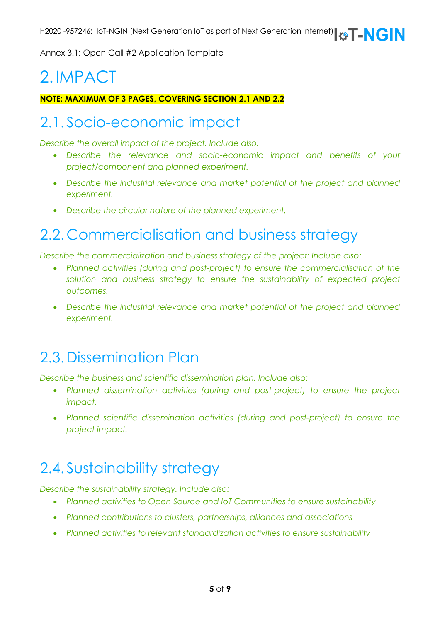# 2. IMPACT

**NOTE: MAXIMUM OF 3 PAGES, COVERING SECTION 2.1 AND 2.2**

### 2.1. Socio-economic impact

*Describe the overall impact of the project. Include also:*

- *Describe the relevance and socio-economic impact and benefits of your project/component and planned experiment.*
- Describe the industrial relevance and market potential of the project and planned *experiment.*
- *Describe the circular nature of the planned experiment.*

## 2.2. Commercialisation and business strategy

*Describe the commercialization and business strategy of the project: Include also:*

- *Planned activities (during and post-project) to ensure the commercialisation of the*  solution and business strategy to ensure the sustainability of expected project *outcomes.*
- *Describe the industrial relevance and market potential of the project and planned experiment.*

### 2.3.Dissemination Plan

*Describe the business and scientific dissemination plan. Include also:*

- *Planned dissemination activities (during and post-project) to ensure the project impact.*
- *Planned scientific dissemination activities (during and post-project) to ensure the project impact.*

### 2.4. Sustainability strategy

*Describe the sustainability strategy. Include also:*

- *Planned activities to Open Source and IoT Communities to ensure sustainability*
- *Planned contributions to clusters, partnerships, alliances and associations*
- *Planned activities to relevant standardization activities to ensure sustainability*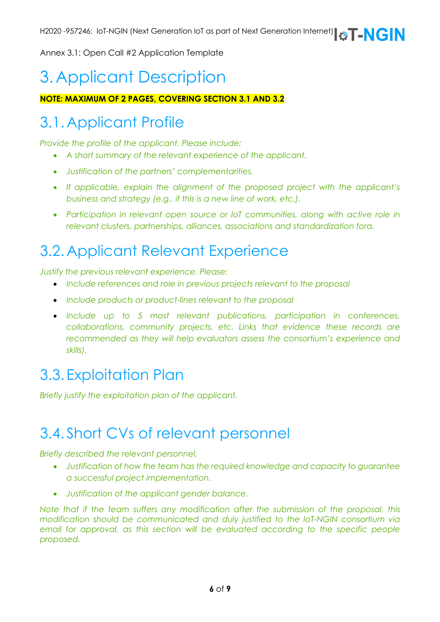# 3. Applicant Description

#### **NOTE: MAXIMUM OF 2 PAGES, COVERING SECTION 3.1 AND 3.2**

## 3.1.Applicant Profile

*Provide the profile of the applicant. Please include:*

- *A short summary of the relevant experience of the applicant.*
- *Justification of the partners' complementarities.*
- *If applicable, explain the alignment of the proposed project with the applicant's business and strategy (e.g., if this is a new line of work, etc.).*
- Participation in relevant open source or loT communities, along with active role in *relevant clusters, partnerships, alliances, associations and standardization fora.*

### 3.2.Applicant Relevant Experience

*Justify the previous relevant experience. Please:*

- *Include references and role in previous projects relevant to the proposal*
- *Include products or product-lines relevant to the proposal*
- *Include up to 5 most relevant publications, participation in conferences, collaborations, community projects, etc. Links that evidence these records are*  recommended as they will help evaluators assess the consortium's experience and *skills).*

### 3.3. Exploitation Plan

*Briefly justify the exploitation plan of the applicant.* 

### 3.4. Short CVs of relevant personnel

*Briefly described the relevant personnel.*

- *Justification of how the team has the required knowledge and capacity to guarantee a successful project implementation.*
- *Justification of the applicant gender balance.*

*Note that if the team suffers any modification after the submission of the proposal, this modification should be communicated and duly justified to the IoT-NGIN consortium via email for approval, as this section will be evaluated according to the specific people proposed.*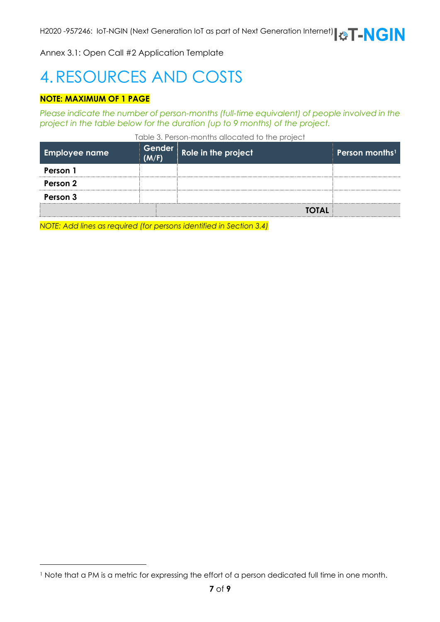# 4.RESOURCES AND COSTS

#### **NOTE: MAXIMUM OF 1 PAGE**

*Please indicate the number of person-months (full-time equivalent) of people involved in the project in the table below for the duration (up to 9 months) of the project.* 

Table 3. Person-months allocated to the project

| <b>Employee name</b> | (M/F) | Gender Role in the project | Person months <sup>11</sup> |
|----------------------|-------|----------------------------|-----------------------------|
| Person 1             |       |                            |                             |
| Person 2             |       |                            |                             |
| Person 3             |       |                            |                             |
|                      |       | <b>TOTAL</b>               |                             |
|                      |       |                            |                             |

*NOTE: Add lines as required (for persons identified in Section 3.4)*

<sup>1</sup> Note that a PM is a metric for expressing the effort of a person dedicated full time in one month.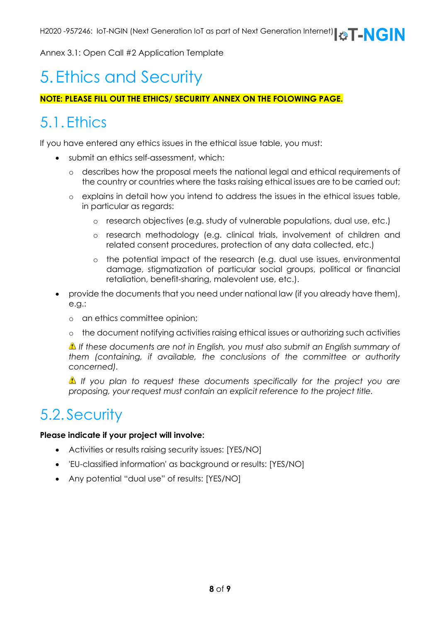## 5. Ethics and Security

#### **NOTE: PLEASE FILL OUT THE ETHICS/ SECURITY ANNEX ON THE FOLOWING PAGE.**

### 5.1. Ethics

If you have entered any ethics issues in the ethical issue table, you must:

- submit an ethics self-assessment, which:
	- o describes how the proposal meets the national legal and ethical requirements of the country or countries where the tasks raising ethical issues are to be carried out;
	- o explains in detail how you intend to address the issues in the ethical issues table, in particular as regards:
		- o research objectives (e.g. study of vulnerable populations, dual use, etc.)
		- o research methodology (e.g. clinical trials, involvement of children and related consent procedures, protection of any data collected, etc.)
		- o the potential impact of the research (e.g. dual use issues, environmental damage, stigmatization of particular social groups, political or financial retaliation, benefit-sharing, malevolent use, etc.).
- provide the documents that you need under national law (if you already have them), e.g.:
	- o an ethics committee opinion;
	- o the document notifying activities raising ethical issues or authorizing such activities

*If these documents are not in English, you must also submit an English summary of them (containing, if available, the conclusions of the committee or authority concerned).*

*If you plan to request these documents specifically for the project you are proposing, your request must contain an explicit reference to the project title.*

### 5.2. Security

#### **Please indicate if your project will involve:**

- Activities or results raising security issues: [YES/NO]
- 'EU-classified information' as background or results: [YES/NO]
- Any potential "dual use" of results: [YES/NO]